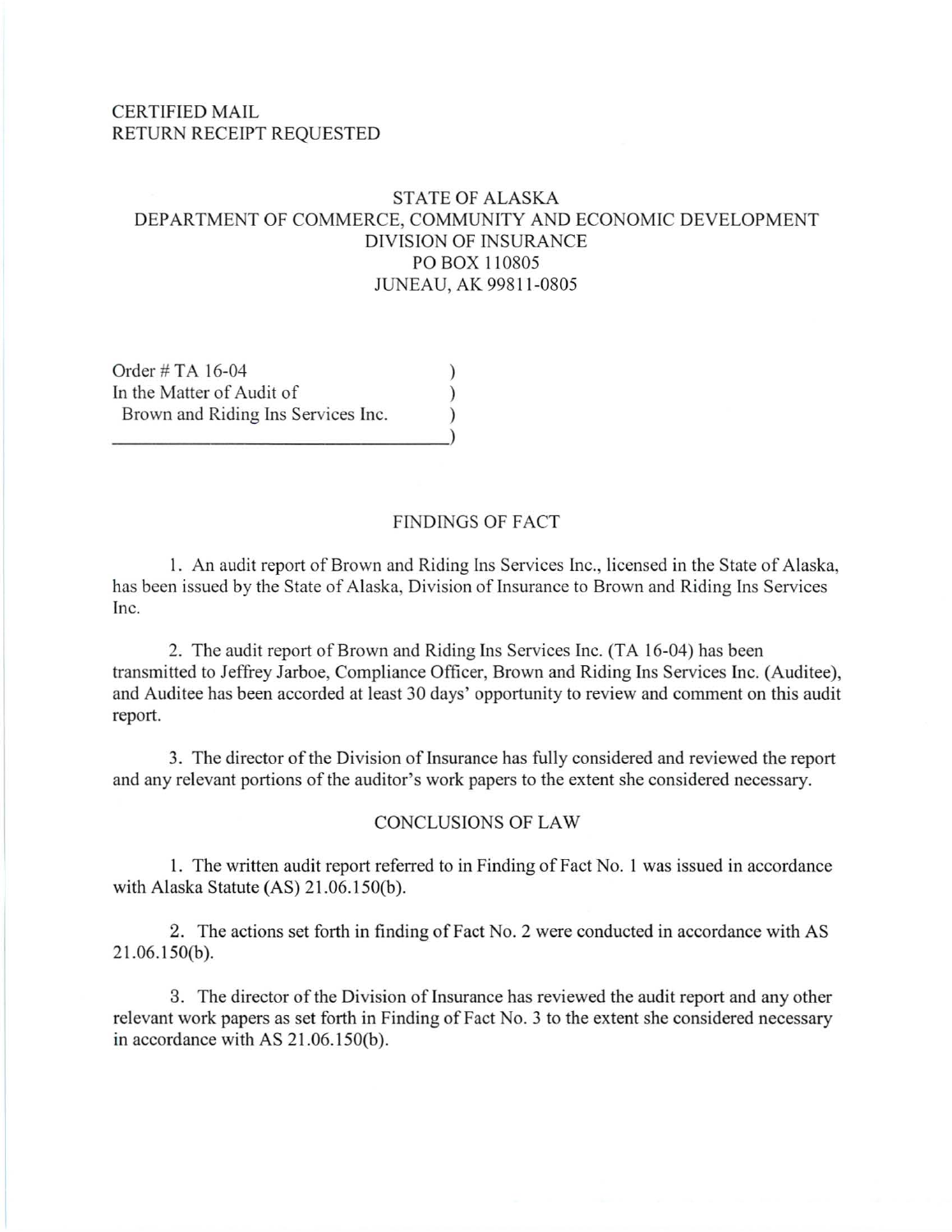#### CERTIFIED MAIL RETURN RECEIPT REQUESTED

### STATE OF ALASKA DEPARTMENT OF COMMERCE, COMMUNITY AND ECONOMIC DEVELOPMENT DIVISION OF INSURANCE PO BOX 110805 JUNEAU, AK 99811 -0805

Order # TA 16-04 (19) In the Matter of Audit of  $( )$ Brown and Riding Ins Services Inc.  $\qquad \qquad$  ) ~~~~~~~~~~~~~~~)

#### FINDINGS OF FACT

I. An audit report of Brown and Riding Ins Services Inc., licensed in the State of Alaska, has been issued by the State of Alaska, Division of Insurance to Brown and Riding Ins Services Inc.

2. The audit report of Brown and Riding Ins Services Inc. (TA 16-04) has been transmitted to Jeffrey Jarboe, Compliance Officer, Brown and Riding Ins Services Inc. (Auditee), and Auditee has been accorded at least 30 days' opportunity to review and comment on this audit report.

3. The director of the Division of Insurance has fully considered and reviewed the report and any relevant portions of the auditor's work papers to the extent she considered necessary.

#### CONCLUSIONS OF LAW

l. The written audit report referred to in Finding of Fact No. I was issued in accordance with Alaska Statute (AS) 21.06.150(b).

2. The actions set forth in finding of Fact No. 2 were conducted in accordance with AS  $21.06.150(b)$ .

3. The director of the Division of Insurance has reviewed the audit report and any other relevant work papers as set forth in Finding of Fact No. 3 to the extent she considered necessary in accordance with AS  $21.06.150(b)$ .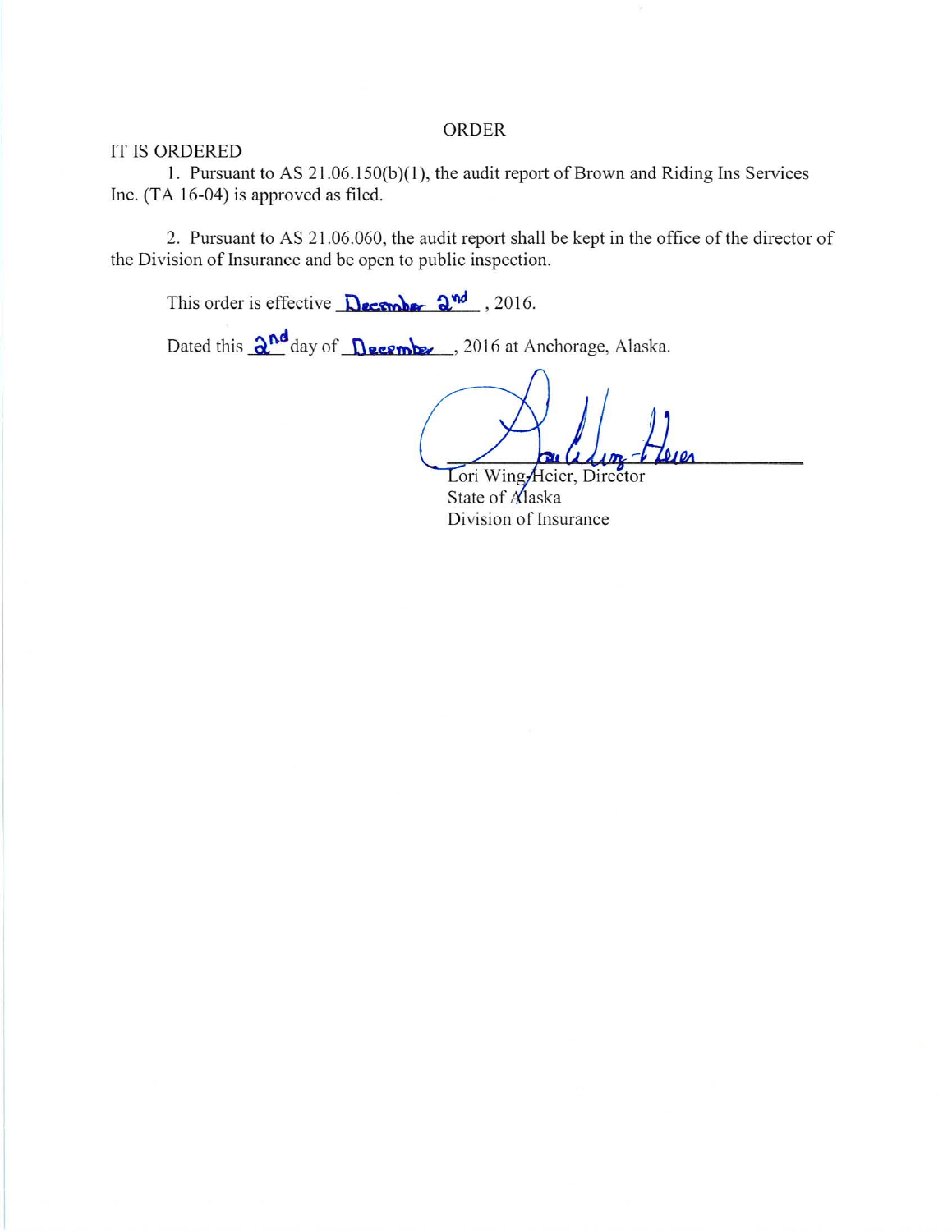#### ORDER

#### IT IS ORDERED

1. Pursuant to AS 21.06.150(b)(1), the audit report of Brown and Riding Ins Services Inc. (TA 16-04) is approved as filed.

2. Pursuant to AS 21 .06.060, the audit report shall be kept in the office of the director of the Division of Insurance and be open to public inspection.

This order is effective  $\Delta$ ecomber  $2^{\text{nd}}$ , 2016.

Dated this  $\frac{\partial^{nd}}{\partial x}$  day of  $\frac{\partial^{eq}}{\partial y}$  **Os.** *Permins*. 2016 at Anchorage, Alaska.

Lori Wing Heier, Director State of Alaska Division of Insurance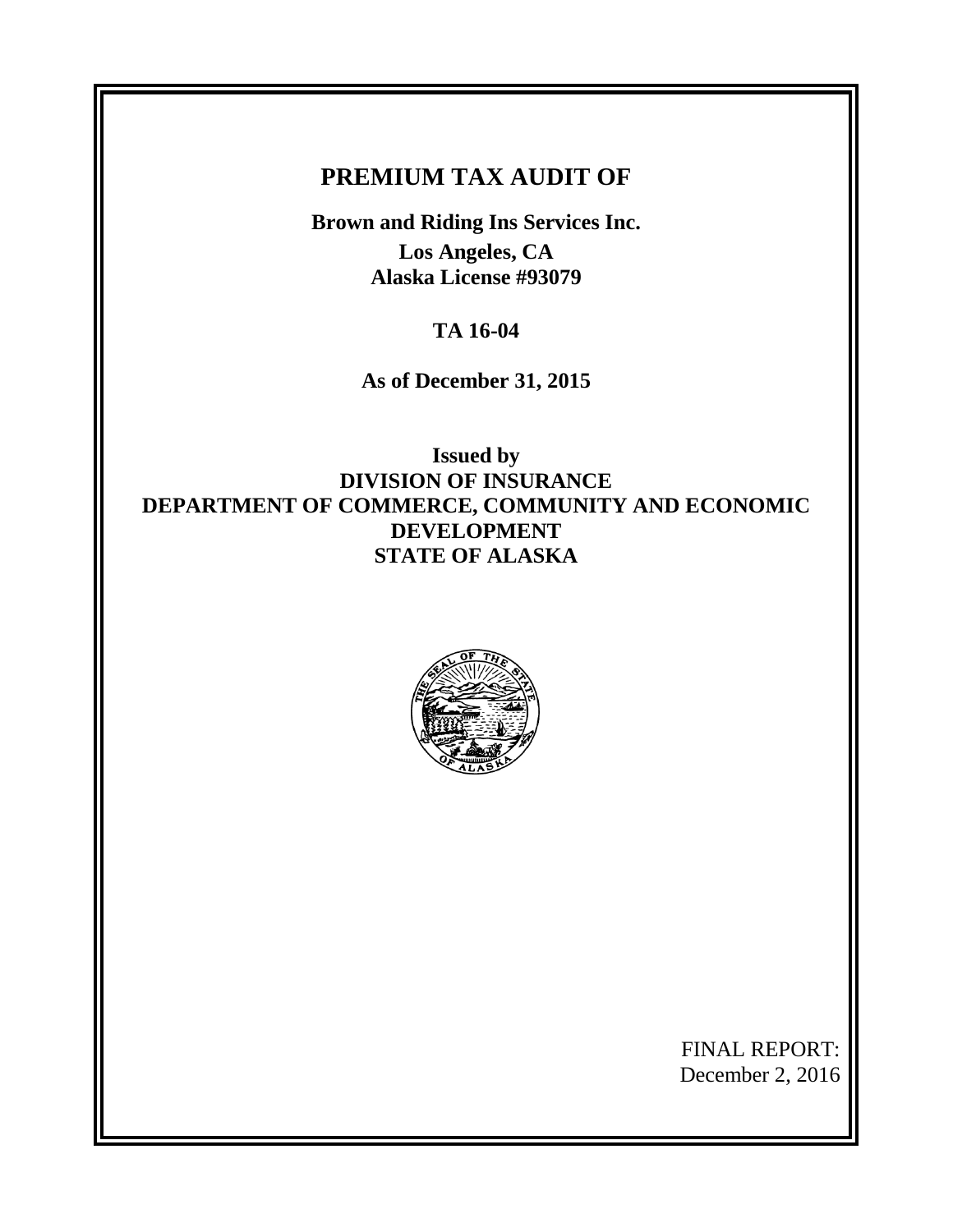# **PREMIUM TAX AUDIT OF**

**Brown and Riding Ins Services Inc. Los Angeles, CA Alaska License #93079**

**TA 16-04**

**As of December 31, 2015**

**Issued by DIVISION OF INSURANCE DEPARTMENT OF COMMERCE, COMMUNITY AND ECONOMIC DEVELOPMENT STATE OF ALASKA**



FINAL REPORT: December 2, 2016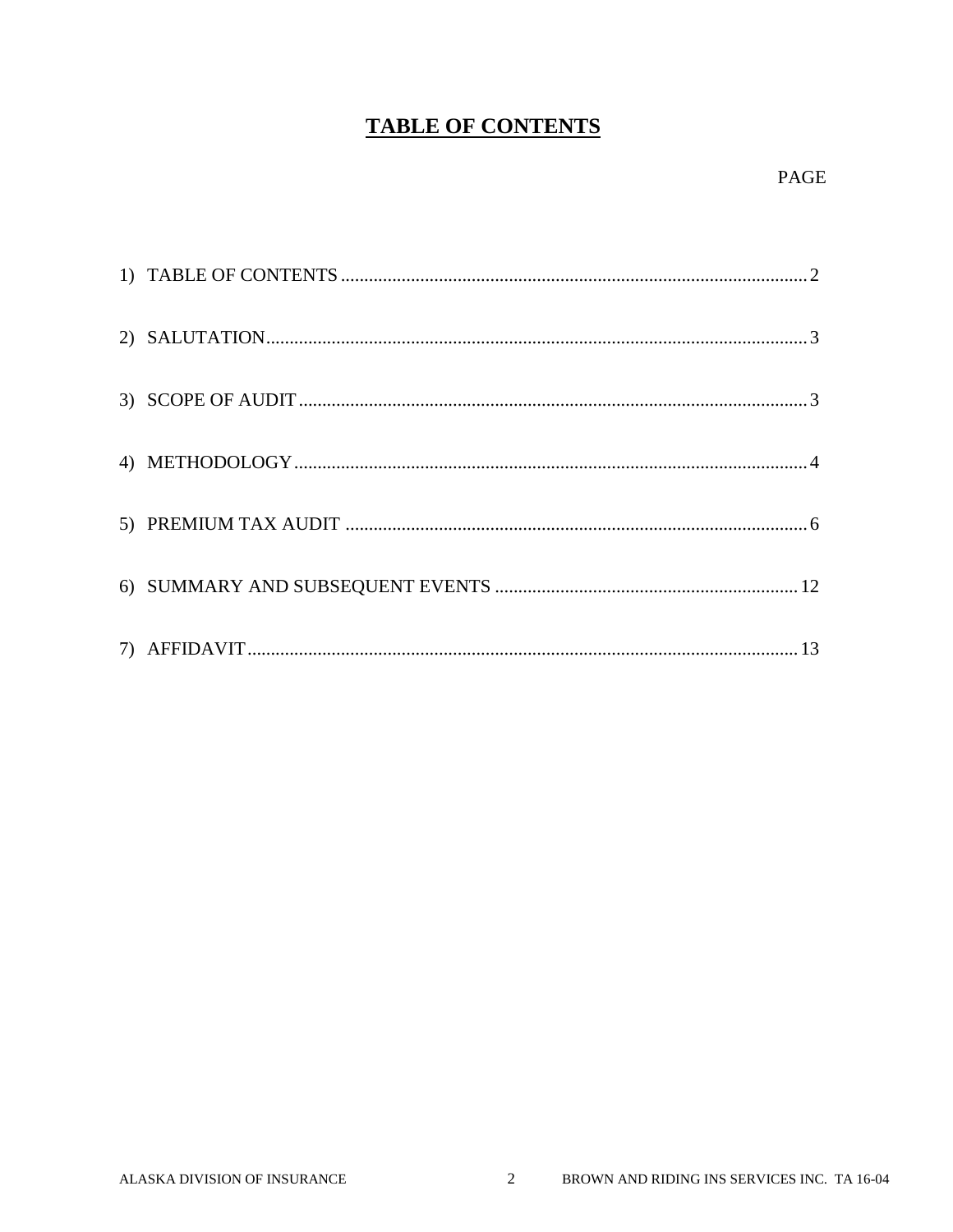# **TABLE OF CONTENTS**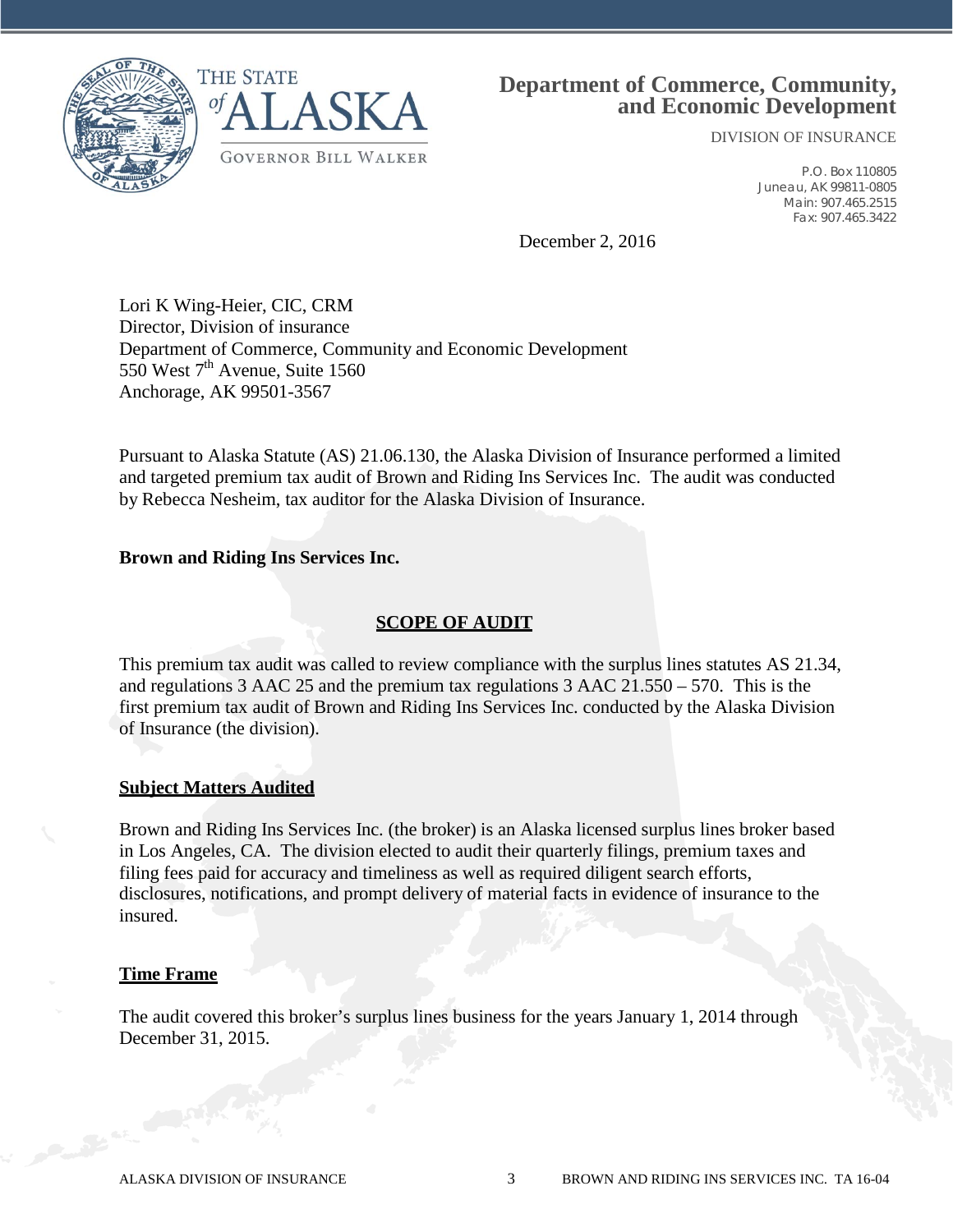



## **Department of Commerce, Community, and Economic Development**

DIVISION OF INSURANCE

P.O. Box 110805 Juneau, AK 99811-0805 Main: 907.465.2515 Fax: 907.465.3422

December 2, 2016

Lori K Wing-Heier, CIC, CRM Director, Division of insurance Department of Commerce, Community and Economic Development 550 West  $7<sup>th</sup>$  Avenue, Suite 1560 Anchorage, AK 99501-3567

Pursuant to Alaska Statute (AS) 21.06.130, the Alaska Division of Insurance performed a limited and targeted premium tax audit of Brown and Riding Ins Services Inc. The audit was conducted by Rebecca Nesheim, tax auditor for the Alaska Division of Insurance.

#### **Brown and Riding Ins Services Inc.**

#### **SCOPE OF AUDIT**

This premium tax audit was called to review compliance with the surplus lines statutes AS 21.34, and regulations 3 AAC 25 and the premium tax regulations 3 AAC 21.550 – 570. This is the first premium tax audit of Brown and Riding Ins Services Inc. conducted by the Alaska Division of Insurance (the division).

#### **Subject Matters Audited**

Brown and Riding Ins Services Inc. (the broker) is an Alaska licensed surplus lines broker based in Los Angeles, CA. The division elected to audit their quarterly filings, premium taxes and filing fees paid for accuracy and timeliness as well as required diligent search efforts, disclosures, notifications, and prompt delivery of material facts in evidence of insurance to the insured.

#### **Time Frame**

The audit covered this broker's surplus lines business for the years January 1, 2014 through December 31, 2015.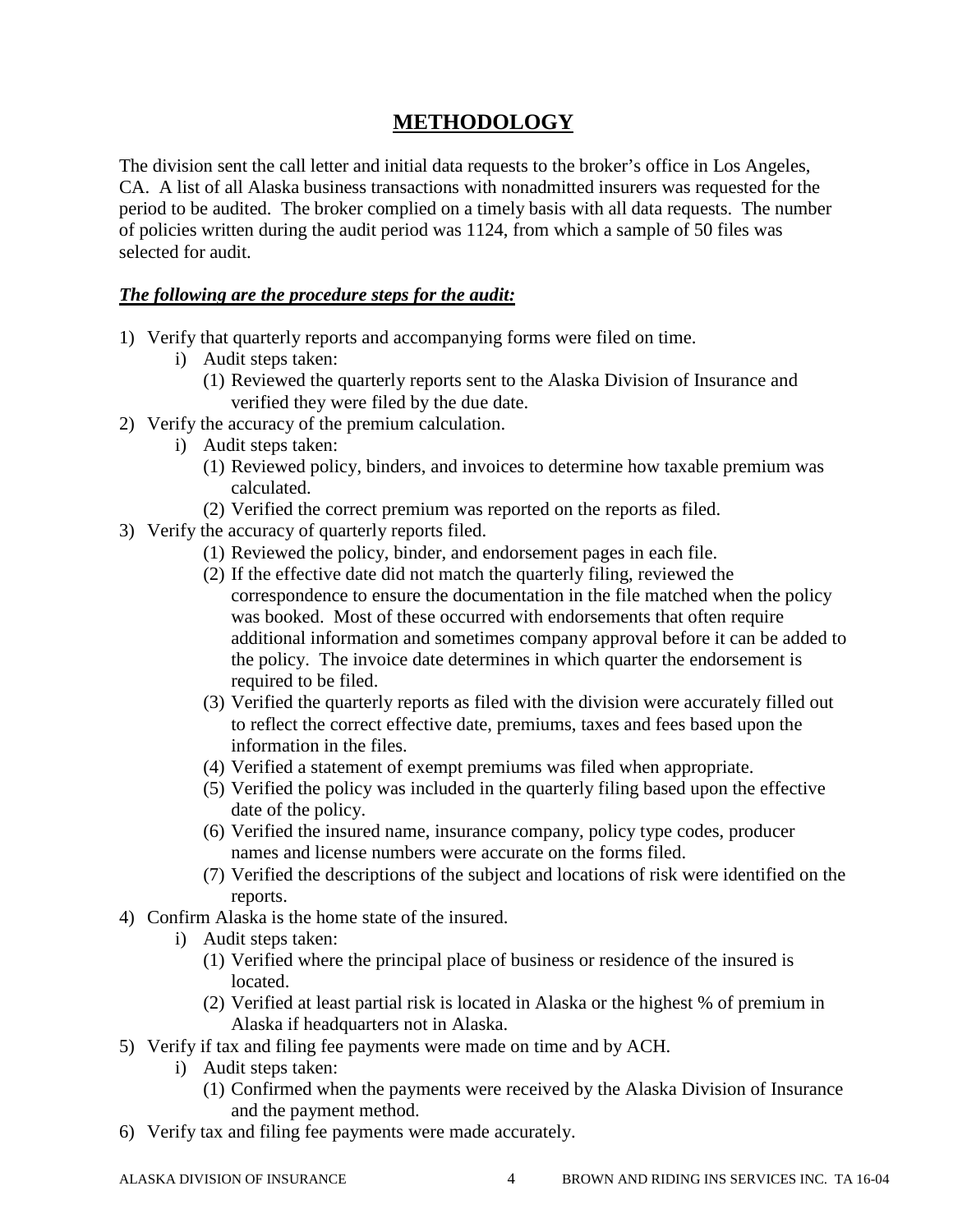## **METHODOLOGY**

The division sent the call letter and initial data requests to the broker's office in Los Angeles, CA. A list of all Alaska business transactions with nonadmitted insurers was requested for the period to be audited. The broker complied on a timely basis with all data requests. The number of policies written during the audit period was 1124, from which a sample of 50 files was selected for audit.

## *The following are the procedure steps for the audit:*

- 1) Verify that quarterly reports and accompanying forms were filed on time.
	- i) Audit steps taken:
		- (1) Reviewed the quarterly reports sent to the Alaska Division of Insurance and verified they were filed by the due date.
- 2) Verify the accuracy of the premium calculation.
	- i) Audit steps taken:
		- (1) Reviewed policy, binders, and invoices to determine how taxable premium was calculated.
		- (2) Verified the correct premium was reported on the reports as filed.
- 3) Verify the accuracy of quarterly reports filed.
	- (1) Reviewed the policy, binder, and endorsement pages in each file.
	- (2) If the effective date did not match the quarterly filing, reviewed the correspondence to ensure the documentation in the file matched when the policy was booked. Most of these occurred with endorsements that often require additional information and sometimes company approval before it can be added to the policy. The invoice date determines in which quarter the endorsement is required to be filed.
	- (3) Verified the quarterly reports as filed with the division were accurately filled out to reflect the correct effective date, premiums, taxes and fees based upon the information in the files.
	- (4) Verified a statement of exempt premiums was filed when appropriate.
	- (5) Verified the policy was included in the quarterly filing based upon the effective date of the policy.
	- (6) Verified the insured name, insurance company, policy type codes, producer names and license numbers were accurate on the forms filed.
	- (7) Verified the descriptions of the subject and locations of risk were identified on the reports.
- 4) Confirm Alaska is the home state of the insured.
	- i) Audit steps taken:
		- (1) Verified where the principal place of business or residence of the insured is located.
		- (2) Verified at least partial risk is located in Alaska or the highest % of premium in Alaska if headquarters not in Alaska.
- 5) Verify if tax and filing fee payments were made on time and by ACH.
	- i) Audit steps taken:
		- (1) Confirmed when the payments were received by the Alaska Division of Insurance and the payment method.
- 6) Verify tax and filing fee payments were made accurately.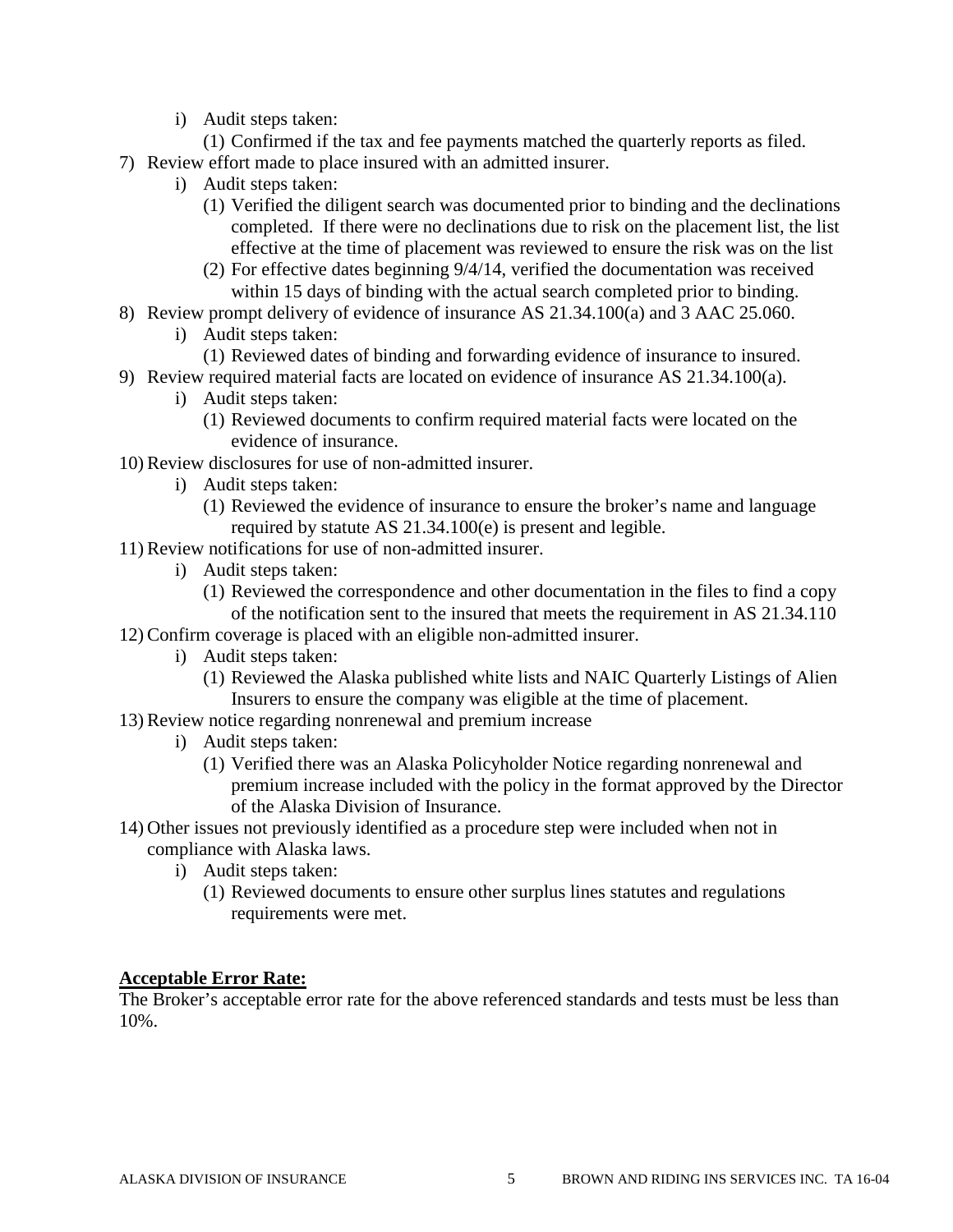i) Audit steps taken:

(1) Confirmed if the tax and fee payments matched the quarterly reports as filed. 7) Review effort made to place insured with an admitted insurer.

- i) Audit steps taken:
	- (1) Verified the diligent search was documented prior to binding and the declinations completed. If there were no declinations due to risk on the placement list, the list effective at the time of placement was reviewed to ensure the risk was on the list
	- (2) For effective dates beginning 9/4/14, verified the documentation was received within 15 days of binding with the actual search completed prior to binding.
- 8) Review prompt delivery of evidence of insurance AS 21.34.100(a) and 3 AAC 25.060.
	- i) Audit steps taken:
	- (1) Reviewed dates of binding and forwarding evidence of insurance to insured.
- 9) Review required material facts are located on evidence of insurance AS 21.34.100(a).
	- i) Audit steps taken:
		- (1) Reviewed documents to confirm required material facts were located on the evidence of insurance.
- 10) Review disclosures for use of non-admitted insurer.
	- i) Audit steps taken:
		- (1) Reviewed the evidence of insurance to ensure the broker's name and language required by statute AS 21.34.100(e) is present and legible.
- 11) Review notifications for use of non-admitted insurer.
	- i) Audit steps taken:
		- (1) Reviewed the correspondence and other documentation in the files to find a copy of the notification sent to the insured that meets the requirement in AS 21.34.110
- 12) Confirm coverage is placed with an eligible non-admitted insurer.
	- i) Audit steps taken:
		- (1) Reviewed the Alaska published white lists and NAIC Quarterly Listings of Alien Insurers to ensure the company was eligible at the time of placement.
- 13) Review notice regarding nonrenewal and premium increase
	- i) Audit steps taken:
		- (1) Verified there was an Alaska Policyholder Notice regarding nonrenewal and premium increase included with the policy in the format approved by the Director of the Alaska Division of Insurance.
- 14) Other issues not previously identified as a procedure step were included when not in compliance with Alaska laws.
	- i) Audit steps taken:
		- (1) Reviewed documents to ensure other surplus lines statutes and regulations requirements were met.

#### **Acceptable Error Rate:**

The Broker's acceptable error rate for the above referenced standards and tests must be less than 10%.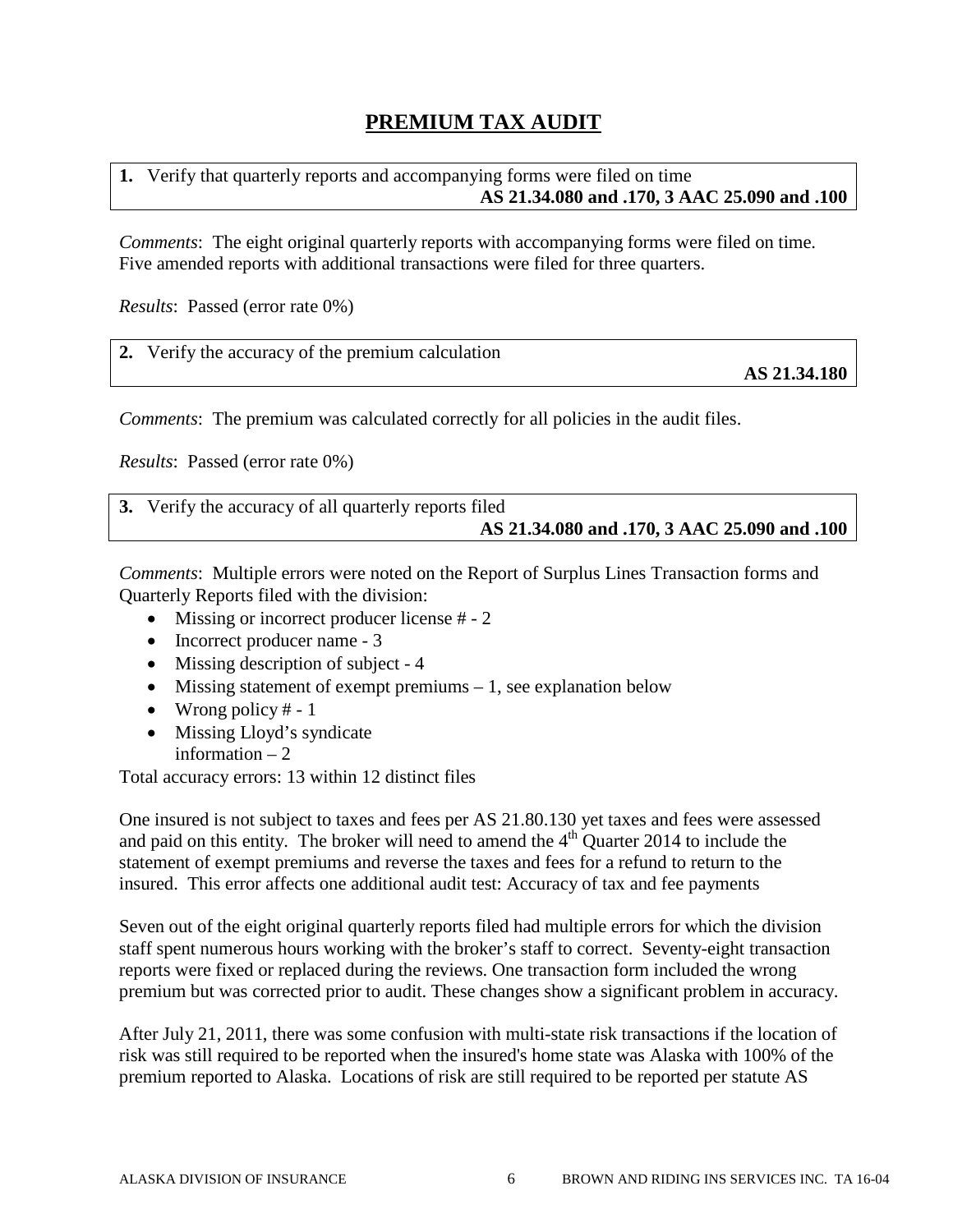## **PREMIUM TAX AUDIT**

**1.** Verify that quarterly reports and accompanying forms were filed on time **AS 21.34.080 and .170, 3 AAC 25.090 and .100**

*Comments*: The eight original quarterly reports with accompanying forms were filed on time. Five amended reports with additional transactions were filed for three quarters.

*Results*: Passed (error rate 0%)

|  | 2. Verify the accuracy of the premium calculation |
|--|---------------------------------------------------|
|--|---------------------------------------------------|

**AS 21.34.180**

*Comments*: The premium was calculated correctly for all policies in the audit files.

*Results*: Passed (error rate 0%)

| 3. Verify the accuracy of all quarterly reports filed |
|-------------------------------------------------------|
| AS 21.34.080 and .170, 3 AAC 25.090 and .100          |

*Comments*: Multiple errors were noted on the Report of Surplus Lines Transaction forms and Quarterly Reports filed with the division:

- Missing or incorrect producer license # 2
- Incorrect producer name 3
- Missing description of subject 4
- Missing statement of exempt premiums  $-1$ , see explanation below
- Wrong policy  $# 1$
- Missing Lloyd's syndicate information  $-2$

Total accuracy errors: 13 within 12 distinct files

One insured is not subject to taxes and fees per AS 21.80.130 yet taxes and fees were assessed and paid on this entity. The broker will need to amend the  $4<sup>th</sup>$  Quarter 2014 to include the statement of exempt premiums and reverse the taxes and fees for a refund to return to the insured. This error affects one additional audit test: Accuracy of tax and fee payments

Seven out of the eight original quarterly reports filed had multiple errors for which the division staff spent numerous hours working with the broker's staff to correct. Seventy-eight transaction reports were fixed or replaced during the reviews. One transaction form included the wrong premium but was corrected prior to audit. These changes show a significant problem in accuracy.

After July 21, 2011, there was some confusion with multi-state risk transactions if the location of risk was still required to be reported when the insured's home state was Alaska with 100% of the premium reported to Alaska. Locations of risk are still required to be reported per statute AS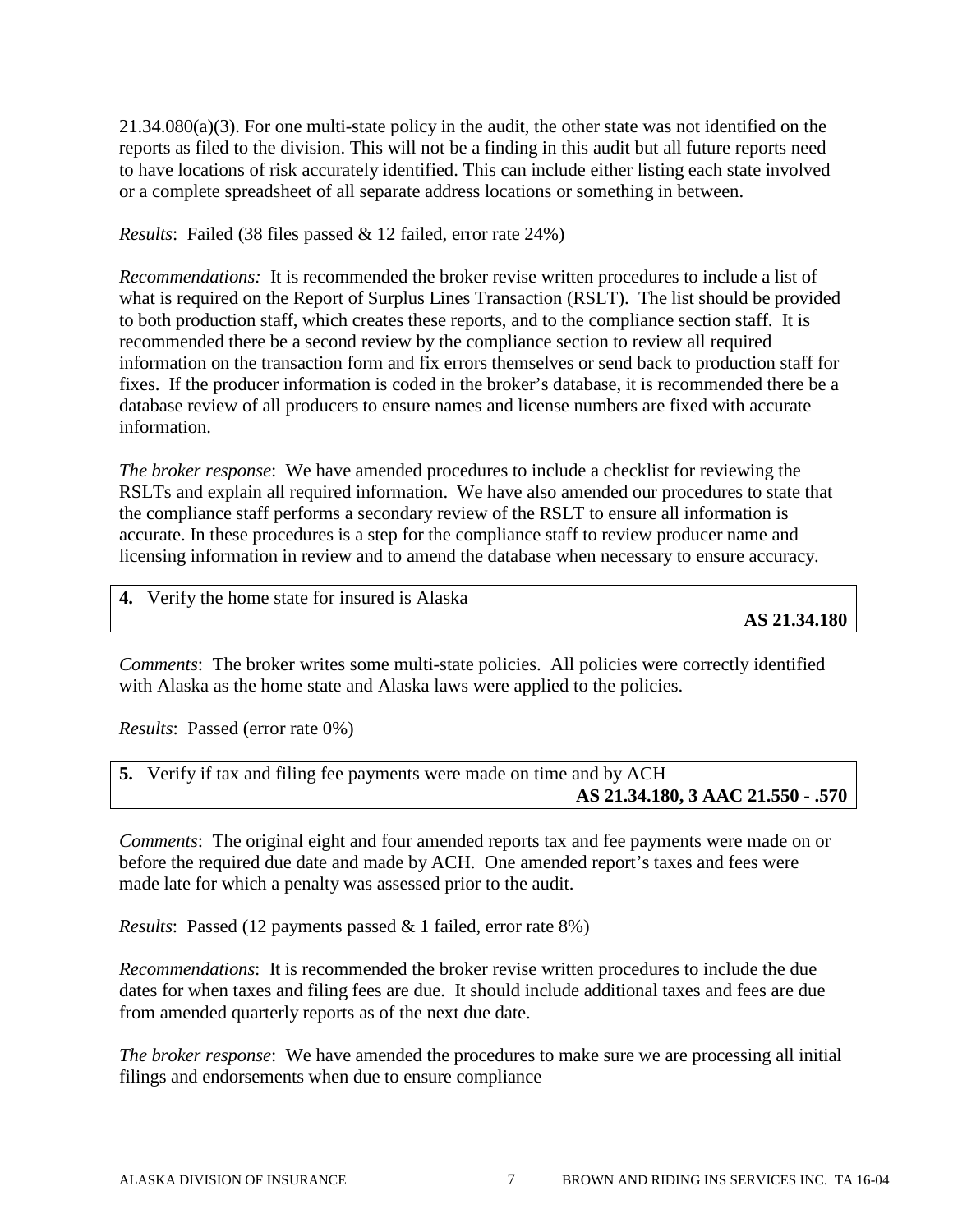21.34.080(a)(3). For one multi-state policy in the audit, the other state was not identified on the reports as filed to the division. This will not be a finding in this audit but all future reports need to have locations of risk accurately identified. This can include either listing each state involved or a complete spreadsheet of all separate address locations or something in between.

*Results*: Failed (38 files passed & 12 failed, error rate 24%)

*Recommendations:* It is recommended the broker revise written procedures to include a list of what is required on the Report of Surplus Lines Transaction (RSLT). The list should be provided to both production staff, which creates these reports, and to the compliance section staff. It is recommended there be a second review by the compliance section to review all required information on the transaction form and fix errors themselves or send back to production staff for fixes. If the producer information is coded in the broker's database, it is recommended there be a database review of all producers to ensure names and license numbers are fixed with accurate information.

*The broker response*: We have amended procedures to include a checklist for reviewing the RSLTs and explain all required information. We have also amended our procedures to state that the compliance staff performs a secondary review of the RSLT to ensure all information is accurate. In these procedures is a step for the compliance staff to review producer name and licensing information in review and to amend the database when necessary to ensure accuracy.

**4.** Verify the home state for insured is Alaska

**AS 21.34.180**

*Comments*: The broker writes some multi-state policies. All policies were correctly identified with Alaska as the home state and Alaska laws were applied to the policies.

*Results*: Passed (error rate 0%)

**5.** Verify if tax and filing fee payments were made on time and by ACH **AS 21.34.180, 3 AAC 21.550 - .570**

*Comments*: The original eight and four amended reports tax and fee payments were made on or before the required due date and made by ACH. One amended report's taxes and fees were made late for which a penalty was assessed prior to the audit.

*Results*: Passed (12 payments passed & 1 failed, error rate 8%)

*Recommendations*: It is recommended the broker revise written procedures to include the due dates for when taxes and filing fees are due. It should include additional taxes and fees are due from amended quarterly reports as of the next due date.

*The broker response*: We have amended the procedures to make sure we are processing all initial filings and endorsements when due to ensure compliance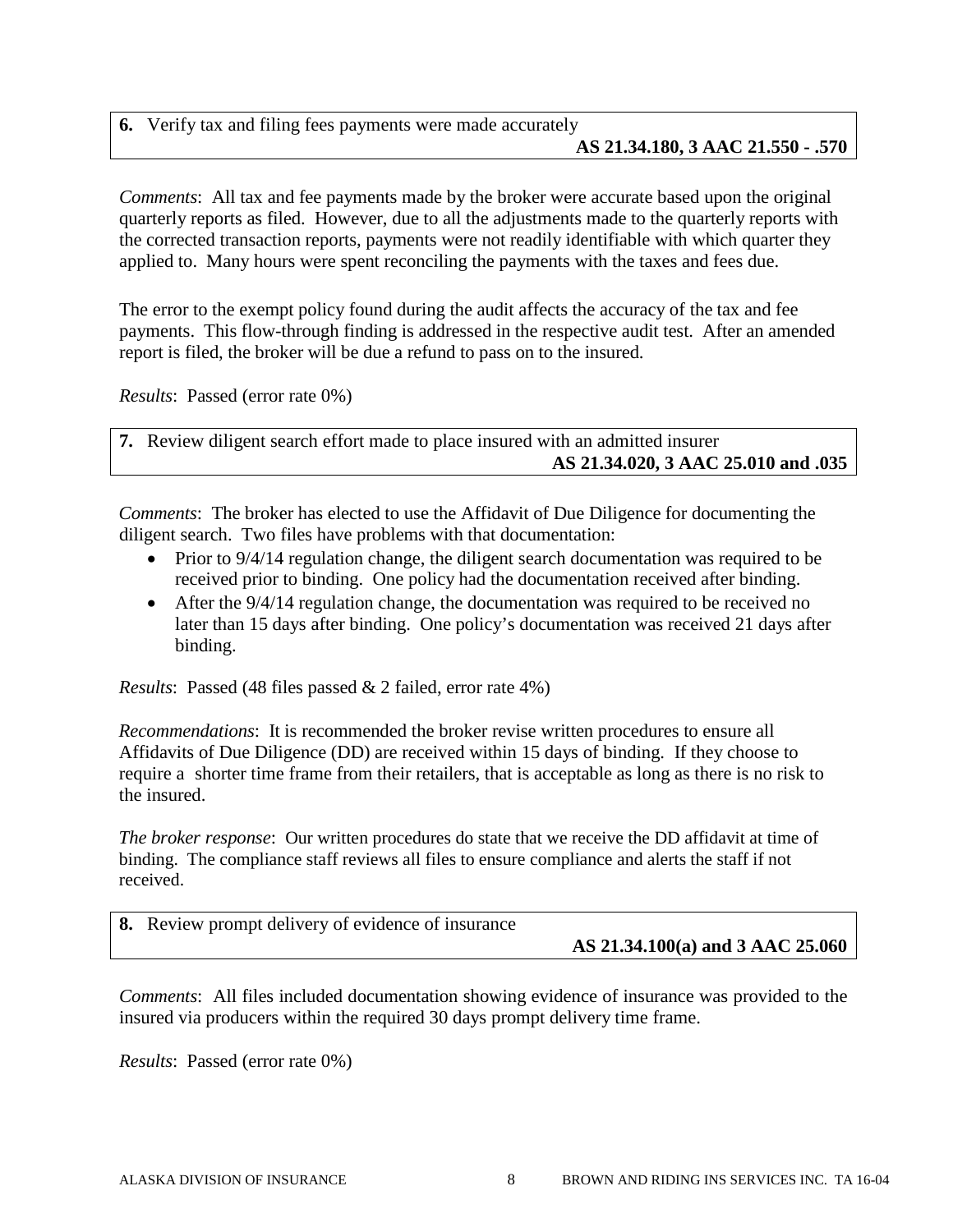**6.** Verify tax and filing fees payments were made accurately **AS 21.34.180, 3 AAC 21.550 - .570**

*Comments*: All tax and fee payments made by the broker were accurate based upon the original quarterly reports as filed. However, due to all the adjustments made to the quarterly reports with the corrected transaction reports, payments were not readily identifiable with which quarter they applied to. Many hours were spent reconciling the payments with the taxes and fees due.

The error to the exempt policy found during the audit affects the accuracy of the tax and fee payments. This flow-through finding is addressed in the respective audit test. After an amended report is filed, the broker will be due a refund to pass on to the insured.

*Results*: Passed (error rate 0%)

**7.** Review diligent search effort made to place insured with an admitted insurer **AS 21.34.020, 3 AAC 25.010 and .035**

*Comments*: The broker has elected to use the Affidavit of Due Diligence for documenting the diligent search. Two files have problems with that documentation:

- Prior to 9/4/14 regulation change, the diligent search documentation was required to be received prior to binding. One policy had the documentation received after binding.
- After the  $9/4/14$  regulation change, the documentation was required to be received no later than 15 days after binding. One policy's documentation was received 21 days after binding.

*Results*: Passed (48 files passed & 2 failed, error rate 4%)

*Recommendations*: It is recommended the broker revise written procedures to ensure all Affidavits of Due Diligence (DD) are received within 15 days of binding. If they choose to require a shorter time frame from their retailers, that is acceptable as long as there is no risk to the insured.

*The broker response*: Our written procedures do state that we receive the DD affidavit at time of binding. The compliance staff reviews all files to ensure compliance and alerts the staff if not received.

| 8. Review prompt delivery of evidence of insurance |                                      |
|----------------------------------------------------|--------------------------------------|
|                                                    | AS $21.34.100(a)$ and 3 AAC $25.060$ |

*Comments*: All files included documentation showing evidence of insurance was provided to the insured via producers within the required 30 days prompt delivery time frame.

*Results*: Passed (error rate 0%)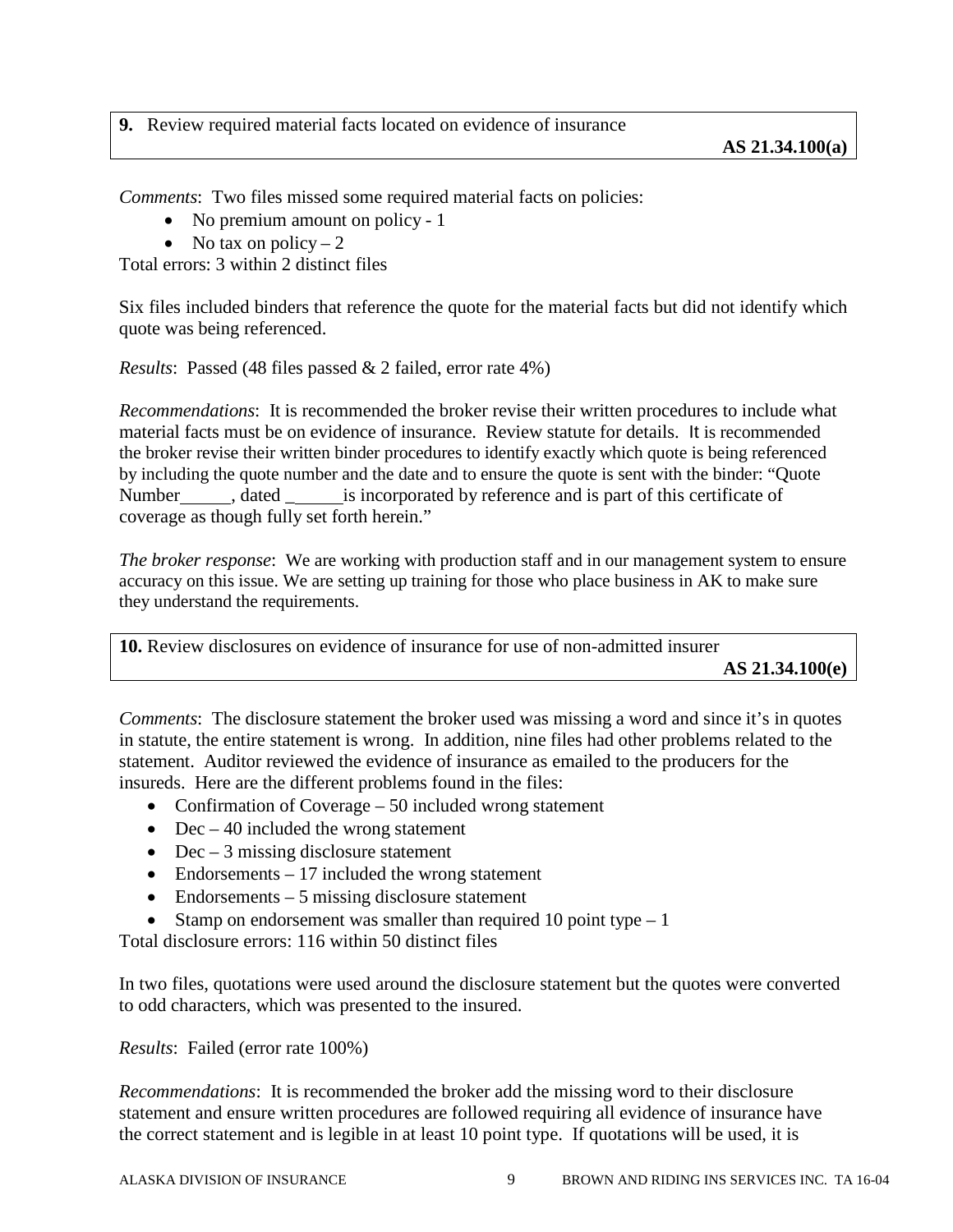### **9.** Review required material facts located on evidence of insurance

*Comments*: Two files missed some required material facts on policies:

- No premium amount on policy 1
- No tax on policy  $-2$

Total errors: 3 within 2 distinct files

Six files included binders that reference the quote for the material facts but did not identify which quote was being referenced.

*Results*: Passed (48 files passed & 2 failed, error rate 4%)

*Recommendations*: It is recommended the broker revise their written procedures to include what material facts must be on evidence of insurance. Review statute for details. It is recommended the broker revise their written binder procedures to identify exactly which quote is being referenced by including the quote number and the date and to ensure the quote is sent with the binder: "Quote Number , dated is incorporated by reference and is part of this certificate of coverage as though fully set forth herein."

*The broker response*: We are working with production staff and in our management system to ensure accuracy on this issue. We are setting up training for those who place business in AK to make sure they understand the requirements.

| <b>10.</b> Review disclosures on evidence of insurance for use of non-admitted insurer |                   |
|----------------------------------------------------------------------------------------|-------------------|
|                                                                                        | AS $21.34.100(e)$ |

*Comments*: The disclosure statement the broker used was missing a word and since it's in quotes in statute, the entire statement is wrong. In addition, nine files had other problems related to the statement. Auditor reviewed the evidence of insurance as emailed to the producers for the insureds. Here are the different problems found in the files:

- Confirmation of Coverage 50 included wrong statement
- Dec  $-40$  included the wrong statement
- Dec  $-3$  missing disclosure statement
- Endorsements  $-17$  included the wrong statement
- Endorsements 5 missing disclosure statement
- Stamp on endorsement was smaller than required 10 point type  $-1$

Total disclosure errors: 116 within 50 distinct files

In two files, quotations were used around the disclosure statement but the quotes were converted to odd characters, which was presented to the insured.

*Results*: Failed (error rate 100%)

*Recommendations*: It is recommended the broker add the missing word to their disclosure statement and ensure written procedures are followed requiring all evidence of insurance have the correct statement and is legible in at least 10 point type. If quotations will be used, it is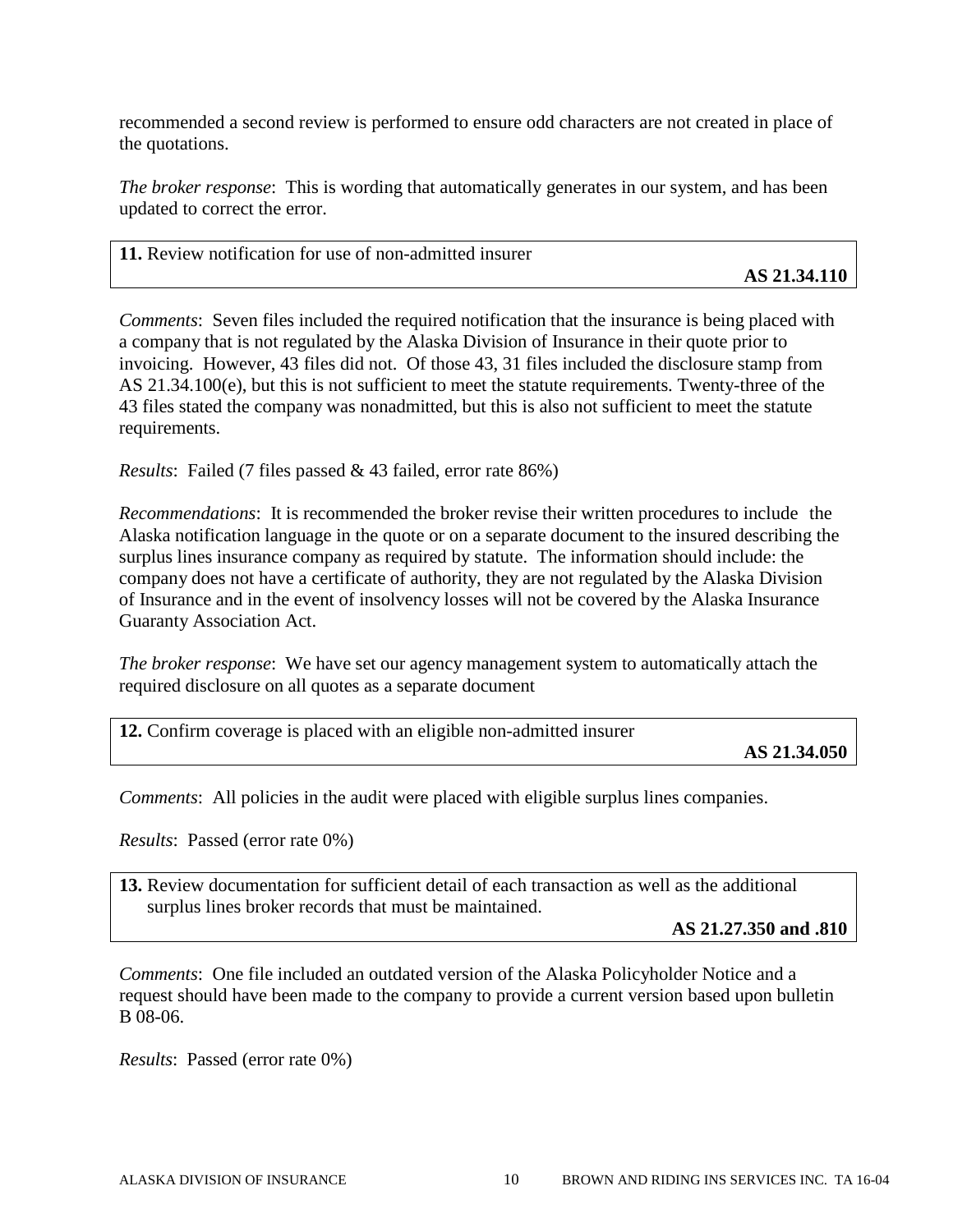recommended a second review is performed to ensure odd characters are not created in place of the quotations.

*The broker response*: This is wording that automatically generates in our system, and has been updated to correct the error.

| 11. Review notification for use of non-admitted insurer |              |
|---------------------------------------------------------|--------------|
|                                                         | AS 21.34.110 |

*Comments*: Seven files included the required notification that the insurance is being placed with a company that is not regulated by the Alaska Division of Insurance in their quote prior to invoicing. However, 43 files did not. Of those 43, 31 files included the disclosure stamp from AS 21.34.100(e), but this is not sufficient to meet the statute requirements. Twenty-three of the 43 files stated the company was nonadmitted, but this is also not sufficient to meet the statute requirements.

*Results*: Failed (7 files passed & 43 failed, error rate 86%)

*Recommendations*: It is recommended the broker revise their written procedures to include the Alaska notification language in the quote or on a separate document to the insured describing the surplus lines insurance company as required by statute. The information should include: the company does not have a certificate of authority, they are not regulated by the Alaska Division of Insurance and in the event of insolvency losses will not be covered by the Alaska Insurance Guaranty Association Act.

*The broker response*: We have set our agency management system to automatically attach the required disclosure on all quotes as a separate document

**12.** Confirm coverage is placed with an eligible non-admitted insurer

**AS 21.34.050**

*Comments*: All policies in the audit were placed with eligible surplus lines companies.

*Results*: Passed (error rate 0%)

**13.** Review documentation for sufficient detail of each transaction as well as the additional surplus lines broker records that must be maintained.

**AS 21.27.350 and .810**

*Comments*: One file included an outdated version of the Alaska Policyholder Notice and a request should have been made to the company to provide a current version based upon bulletin B 08-06.

*Results*: Passed (error rate 0%)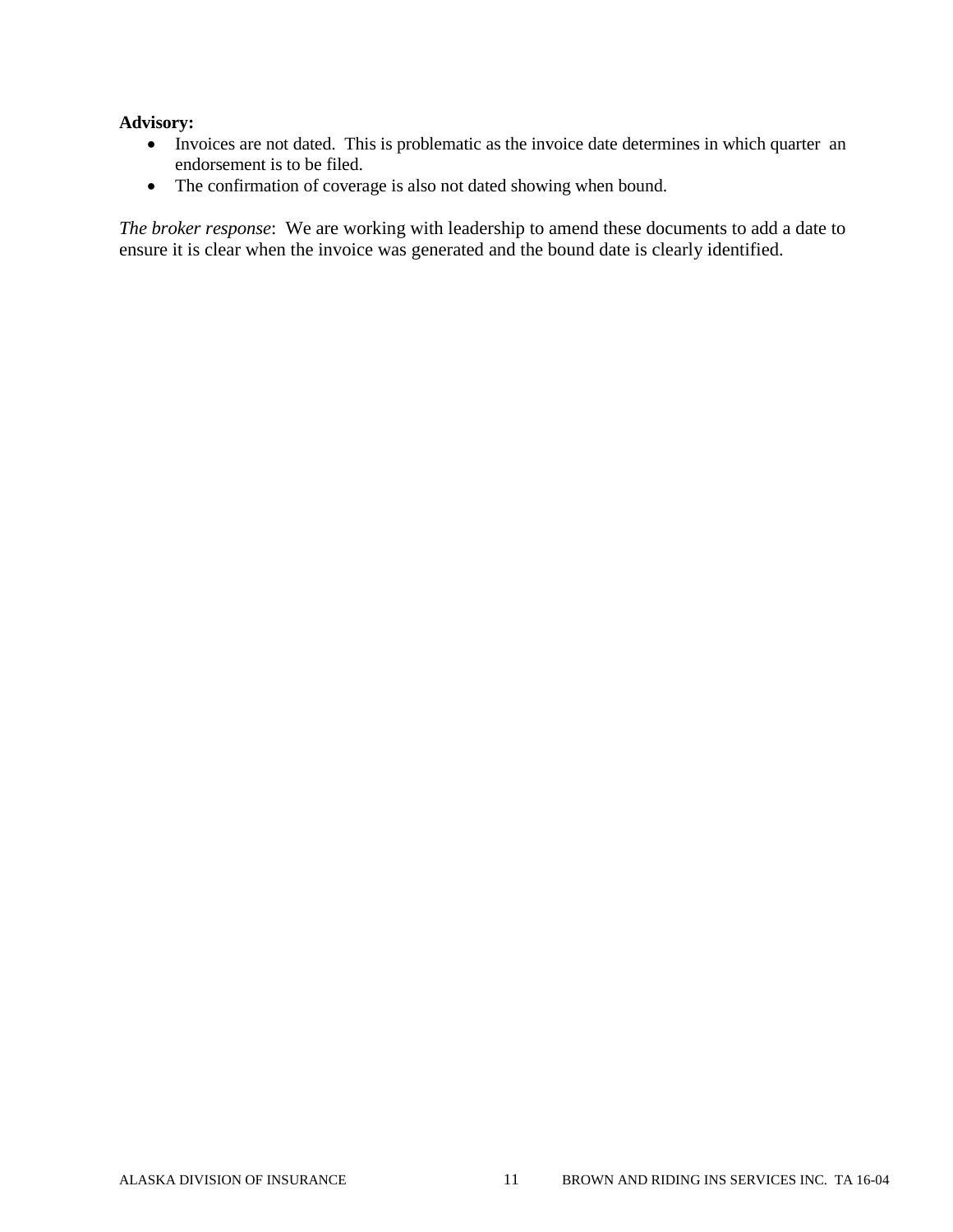#### **Advisory:**

- Invoices are not dated. This is problematic as the invoice date determines in which quarter an endorsement is to be filed.
- The confirmation of coverage is also not dated showing when bound.

*The broker response*: We are working with leadership to amend these documents to add a date to ensure it is clear when the invoice was generated and the bound date is clearly identified.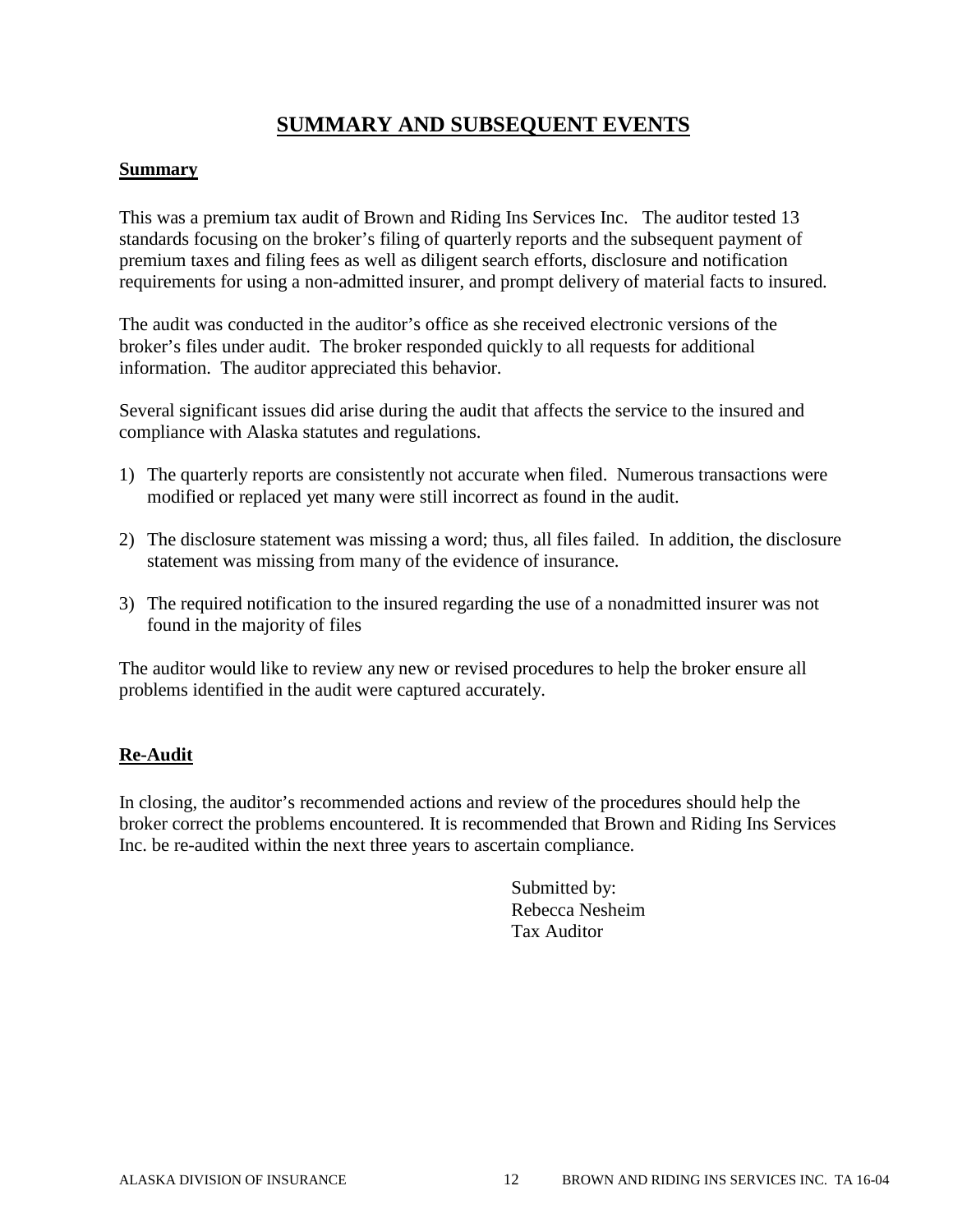## **SUMMARY AND SUBSEQUENT EVENTS**

#### **Summary**

This was a premium tax audit of Brown and Riding Ins Services Inc. The auditor tested 13 standards focusing on the broker's filing of quarterly reports and the subsequent payment of premium taxes and filing fees as well as diligent search efforts, disclosure and notification requirements for using a non-admitted insurer, and prompt delivery of material facts to insured.

The audit was conducted in the auditor's office as she received electronic versions of the broker's files under audit. The broker responded quickly to all requests for additional information. The auditor appreciated this behavior.

Several significant issues did arise during the audit that affects the service to the insured and compliance with Alaska statutes and regulations.

- 1) The quarterly reports are consistently not accurate when filed. Numerous transactions were modified or replaced yet many were still incorrect as found in the audit.
- 2) The disclosure statement was missing a word; thus, all files failed. In addition, the disclosure statement was missing from many of the evidence of insurance.
- 3) The required notification to the insured regarding the use of a nonadmitted insurer was not found in the majority of files

The auditor would like to review any new or revised procedures to help the broker ensure all problems identified in the audit were captured accurately.

#### **Re-Audit**

In closing, the auditor's recommended actions and review of the procedures should help the broker correct the problems encountered. It is recommended that Brown and Riding Ins Services Inc. be re-audited within the next three years to ascertain compliance.

> Submitted by: Rebecca Nesheim Tax Auditor